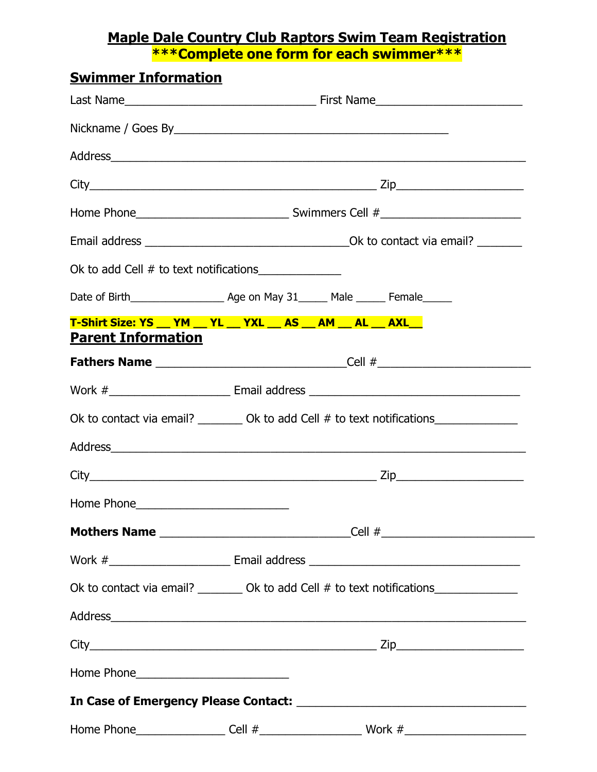## **Maple Dale Country Club Raptors Swim Team Registration \*\*\*Complete one form for each swimmer\*\*\***

| <b>Swimmer Information</b> |                                                                |                                                                                                                    |  |
|----------------------------|----------------------------------------------------------------|--------------------------------------------------------------------------------------------------------------------|--|
|                            |                                                                |                                                                                                                    |  |
|                            |                                                                |                                                                                                                    |  |
|                            |                                                                |                                                                                                                    |  |
|                            |                                                                |                                                                                                                    |  |
|                            |                                                                |                                                                                                                    |  |
|                            |                                                                |                                                                                                                    |  |
|                            | Ok to add Cell # to text notifications_______________          |                                                                                                                    |  |
|                            |                                                                |                                                                                                                    |  |
|                            | T-Shirt Size: YS __ YM __ YL __ YXL __ AS __ AM __ AL __ AXL__ |                                                                                                                    |  |
| <b>Parent Information</b>  |                                                                | <b>Fathers Name</b> ________________________________Cell #____________________________                             |  |
|                            |                                                                |                                                                                                                    |  |
|                            |                                                                | Ok to contact via email? _________ Ok to add Cell # to text notifications______________                            |  |
|                            |                                                                |                                                                                                                    |  |
|                            |                                                                |                                                                                                                    |  |
| Home Phone_                |                                                                |                                                                                                                    |  |
|                            |                                                                | <b>Mothers Name</b> ________________________________Cell #_____________________________                            |  |
|                            |                                                                | Work # Representation of the Email address Representation of the Email address Representation of the Email address |  |
|                            |                                                                | Ok to contact via email? _________ Ok to add Cell # to text notifications______________                            |  |
|                            |                                                                |                                                                                                                    |  |
|                            |                                                                |                                                                                                                    |  |
|                            |                                                                |                                                                                                                    |  |
|                            |                                                                |                                                                                                                    |  |
|                            |                                                                |                                                                                                                    |  |